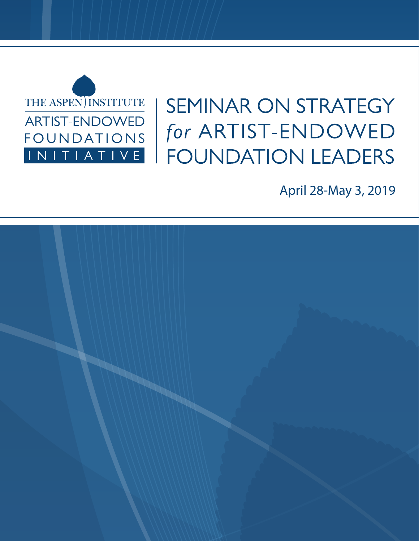

# SEMINAR ON STRATEGY for ARTIST-ENDOWED **FOUNDATION LEADERS**

April 28-May 3, 2019

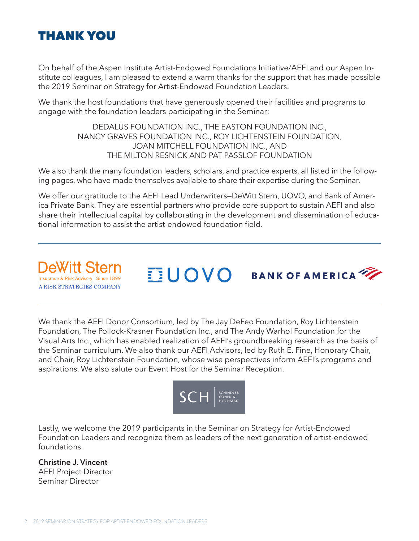

On behalf of the Aspen Institute Artist-Endowed Foundations Initiative/AEFI and our Aspen Institute colleagues, I am pleased to extend a warm thanks for the support that has made possible the 2019 Seminar on Strategy for Artist-Endowed Foundation Leaders.

We thank the host foundations that have generously opened their facilities and programs to engage with the foundation leaders participating in the Seminar:

> DEDALUS FOUNDATION INC., THE EASTON FOUNDATION INC., NANCY GRAVES FOUNDATION INC., ROY LICHTENSTEIN FOUNDATION, JOAN MITCHELL FOUNDATION INC., AND THE MILTON RESNICK AND PAT PASSLOF FOUNDATION

We also thank the many foundation leaders, scholars, and practice experts, all listed in the following pages, who have made themselves available to share their expertise during the Seminar.

We offer our gratitude to the AEFI Lead Underwriters—DeWitt Stern, UOVO, and Bank of America Private Bank. They are essential partners who provide core support to sustain AEFI and also share their intellectual capital by collaborating in the development and dissemination of educational information to assist the artist-endowed foundation field.

**DeWitt Sterr Insurance & Risk Advisory | Since 1899** A RISK STRATEGIES COMPANY



We thank the AEFI Donor Consortium, led by The Jay DeFeo Foundation, Roy Lichtenstein Foundation, The Pollock-Krasner Foundation Inc., and The Andy Warhol Foundation for the Visual Arts Inc., which has enabled realization of AEFI's groundbreaking research as the basis of the Seminar curriculum. We also thank our AEFI Advisors, led by Ruth E. Fine, Honorary Chair, and Chair, Roy Lichtenstein Foundation, whose wise perspectives inform AEFI's programs and aspirations. We also salute our Event Host for the Seminar Reception.



Lastly, we welcome the 2019 participants in the Seminar on Strategy for Artist-Endowed Foundation Leaders and recognize them as leaders of the next generation of artist-endowed foundations.

**Christine J. Vincent** AEFI Project Director Seminar Director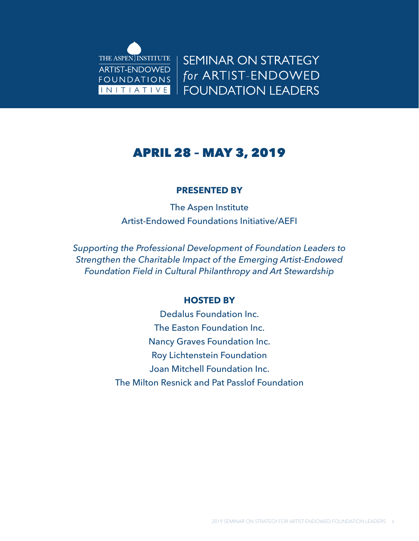

**SEMINAR ON STRATEGY** for ARTIST-ENDOWED **FOUNDATION LEADERS** 

### APRIL 28 – MAY 3, 2019

#### **PRESENTED BY**

The Aspen Institute Artist-Endowed Foundations Initiative/AEFI

*Supporting the Professional Development of Foundation Leaders to Strengthen the Charitable Impact of the Emerging Artist-Endowed Foundation Field in Cultural Philanthropy and Art Stewardship*

#### **HOSTED BY**

Dedalus Foundation Inc. The Easton Foundation Inc. Nancy Graves Foundation Inc. Roy Lichtenstein Foundation Joan Mitchell Foundation Inc. The Milton Resnick and Pat Passlof Foundation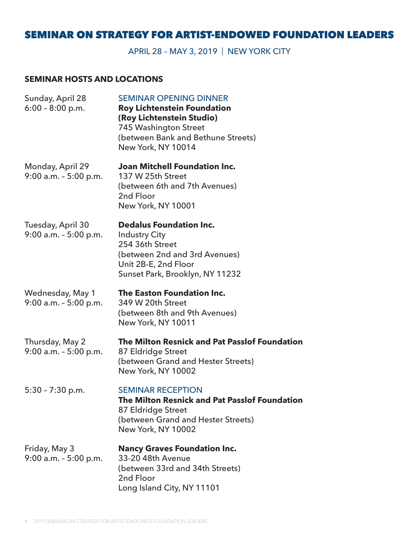#### SEMINAR ON STRATEGY FOR ARTIST-ENDOWED FOUNDATION LEADERS

APRIL 28 – MAY 3, 2019 | NEW YORK CITY

#### **SEMINAR HOSTS AND LOCATIONS**

| Sunday, April 28<br>$6:00 - 8:00$ p.m.        | <b>SEMINAR OPENING DINNER</b><br><b>Roy Lichtenstein Foundation</b><br>(Roy Lichtenstein Studio)<br>745 Washington Street<br>(between Bank and Bethune Streets)<br>New York, NY 10014 |
|-----------------------------------------------|---------------------------------------------------------------------------------------------------------------------------------------------------------------------------------------|
| Monday, April 29<br>$9:00$ a.m. $-5:00$ p.m.  | <b>Joan Mitchell Foundation Inc.</b><br>137 W 25th Street<br>(between 6th and 7th Avenues)<br>2nd Floor<br>New York, NY 10001                                                         |
| Tuesday, April 30<br>$9:00$ a.m. $-5:00$ p.m. | <b>Dedalus Foundation Inc.</b><br><b>Industry City</b><br>254 36th Street<br>(between 2nd and 3rd Avenues)<br>Unit 2B-E, 2nd Floor<br>Sunset Park, Brooklyn, NY 11232                 |
| Wednesday, May 1<br>$9:00$ a.m. $-5:00$ p.m.  | The Easton Foundation Inc.<br>349 W 20th Street<br>(between 8th and 9th Avenues)<br>New York, NY 10011                                                                                |
| Thursday, May 2<br>$9:00$ a.m. $-5:00$ p.m.   | The Milton Resnick and Pat Passlof Foundation<br>87 Eldridge Street<br>(between Grand and Hester Streets)<br>New York, NY 10002                                                       |
| $5:30 - 7:30$ p.m.                            | <b>SEMINAR RECEPTION</b><br>The Milton Resnick and Pat Passlof Foundation<br>87 Eldridge Street<br>(between Grand and Hester Streets)<br>New York, NY 10002                           |
| Friday, May 3<br>$9:00$ a.m. $-5:00$ p.m.     | <b>Nancy Graves Foundation Inc.</b><br>33-20 48th Avenue<br>(between 33rd and 34th Streets)<br>2nd Floor<br>Long Island City, NY 11101                                                |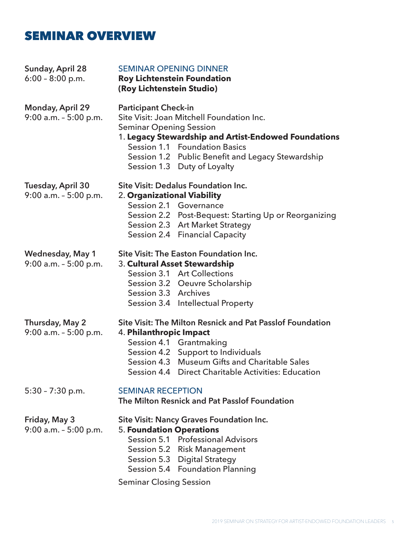### SEMINAR OVERVIEW

| Sunday, April 28<br>$6:00 - 8:00$ p.m.              | <b>SEMINAR OPENING DINNER</b><br><b>Roy Lichtenstein Foundation</b><br>(Roy Lichtenstein Studio)                                                                                                                                                                                        |  |
|-----------------------------------------------------|-----------------------------------------------------------------------------------------------------------------------------------------------------------------------------------------------------------------------------------------------------------------------------------------|--|
| <b>Monday, April 29</b><br>$9:00$ a.m. $-5:00$ p.m. | <b>Participant Check-in</b><br>Site Visit: Joan Mitchell Foundation Inc.<br><b>Seminar Opening Session</b><br>1. Legacy Stewardship and Artist-Endowed Foundations<br>Session 1.1 Foundation Basics<br>Session 1.2 Public Benefit and Legacy Stewardship<br>Session 1.3 Duty of Loyalty |  |
| Tuesday, April 30<br>$9:00$ a.m. - $5:00$ p.m.      | Site Visit: Dedalus Foundation Inc.<br>2. Organizational Viability<br>Session 2.1 Governance<br>Session 2.2 Post-Bequest: Starting Up or Reorganizing<br>Session 2.3 Art Market Strategy<br>Session 2.4 Financial Capacity                                                              |  |
| <b>Wednesday, May 1</b><br>$9:00$ a.m. $-5:00$ p.m. | Site Visit: The Easton Foundation Inc.<br>3. Cultural Asset Stewardship<br>Session 3.1 Art Collections<br>Session 3.2 Oeuvre Scholarship<br>Session 3.3 Archives<br>Session 3.4 Intellectual Property                                                                                   |  |
| Thursday, May 2<br>$9:00$ a.m. $-5:00$ p.m.         | Site Visit: The Milton Resnick and Pat Passlof Foundation<br>4. Philanthropic Impact<br>Session 4.1 Grantmaking<br>Session 4.2 Support to Individuals<br>Session 4.3 Museum Gifts and Charitable Sales<br>Session 4.4 Direct Charitable Activities: Education                           |  |
| $5:30 - 7:30$ p.m.                                  | <b>SEMINAR RECEPTION</b><br>The Milton Resnick and Pat Passlof Foundation                                                                                                                                                                                                               |  |
| Friday, May 3<br>9:00 a.m. - 5:00 p.m.              | <b>Site Visit: Nancy Graves Foundation Inc.</b><br><b>5. Foundation Operations</b><br>Session 5.1 Professional Advisors<br>Session 5.2 Risk Management<br>Session 5.3 Digital Strategy<br>Session 5.4 Foundation Planning<br><b>Seminar Closing Session</b>                             |  |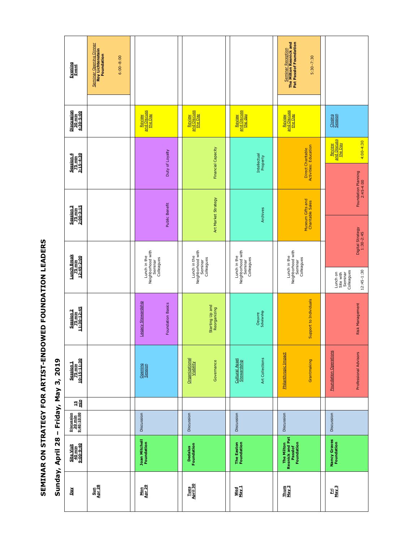|         | SEMINAR ON STRATEGY FOR ARTIST-ENDOWED FOUNDATION LEADERS<br>2019<br>ຕັ<br>Friday, May<br>$\mathbf I$ | Evening<br>Event<br>Discussion<br>30 min<br>4:30-5:00<br>Session 4<br>75 min<br>3:15-4:30<br>Session 3<br>75 min<br>2:00-3:15<br><b>Lunch Break</b><br><u>75 min</u><br>12:45-2:00<br>Session 2<br>75 min<br>11:30-12:45<br>Session 1<br>75 min<br>10:15-11:30<br>넘 들<br>Discussion<br>20 min<br>9:40-10:00 | <b>Seminar Opening Dinner</b><br><b>Roy Lichtenstein</b><br>Foundation<br>$6:00 - 8:00$ | Review<br>and Discuss<br>the Day<br>Duty of Loyalty<br>Public Benefit<br>Lunch in the<br>Neighborhood with<br>Seminar<br>Colleagues<br>Legacy Stewardship<br><b>Foundation Basics</b><br>Opening<br>Session<br>Discussion | <b>Review<br/>and Discuss</b><br>the Day<br><b>Financial Capacity</b><br>Art Market Strategy<br>Lunch in the<br>Neighborhood with<br>Colleagues<br>Seminar<br>Starting Up and<br>Reorganizing<br>Organizational<br>Viability<br>Governance<br>Discussion | Review<br>and Discuss<br>the day<br>Intellectual<br>Property<br>Archives<br>Neighborhood with<br>Lunch in the<br>Colleagues<br>Seminar<br>Oeuvre<br>Scholarship<br>Art Collections<br>Cultural Asset<br>Stewardship<br>Discussion | <b>Seminar Reception</b><br>The Milton Resnick and<br>Pat Passlof Foundation<br>$5:30 - 7:30$<br><b>Review<br/>and Discuss</b><br>the Day<br>Direct Charitable<br>Activities: Education<br>Museum Gifts and<br>Charitable Sales<br>Lunch in the<br>Neighborhood with<br>Seminar<br>Colleagues<br>Support to Individuals<br><b>Philanthropic Impact</b><br>Grantmaking<br>Discussion | Closing<br>Session<br>Review<br>and Discuss<br>the Day<br>Lunch on<br>Site with<br>Seminar<br>Colleagues<br><b>Foundation Operations</b><br>Discussion |
|---------|-------------------------------------------------------------------------------------------------------|-------------------------------------------------------------------------------------------------------------------------------------------------------------------------------------------------------------------------------------------------------------------------------------------------------------|-----------------------------------------------------------------------------------------|---------------------------------------------------------------------------------------------------------------------------------------------------------------------------------------------------------------------------|----------------------------------------------------------------------------------------------------------------------------------------------------------------------------------------------------------------------------------------------------------|-----------------------------------------------------------------------------------------------------------------------------------------------------------------------------------------------------------------------------------|-------------------------------------------------------------------------------------------------------------------------------------------------------------------------------------------------------------------------------------------------------------------------------------------------------------------------------------------------------------------------------------|--------------------------------------------------------------------------------------------------------------------------------------------------------|
| Sunday, | April 28                                                                                              | Site Visit<br>40 min<br>9:00-9:40                                                                                                                                                                                                                                                                           |                                                                                         | <b>Joan Mitchell</b><br>Foundation                                                                                                                                                                                        | <b>Dedalus</b><br>Foundation                                                                                                                                                                                                                             | The Easton<br>Foundation                                                                                                                                                                                                          | The Milton<br>Resnick and Pat<br>Passlof<br>Foundation                                                                                                                                                                                                                                                                                                                              | <b>Nancy Graves</b><br>Foundation                                                                                                                      |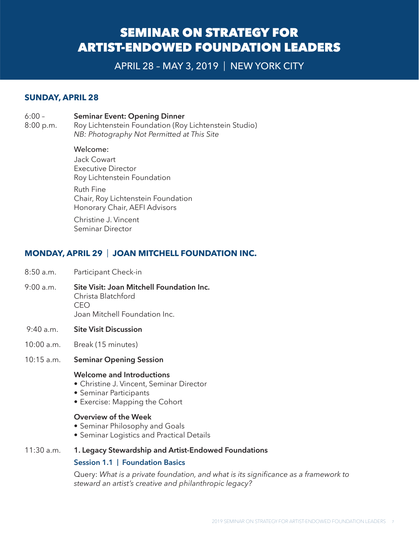### SEMINAR ON STRATEGY FOR ARTIST-ENDOWED FOUNDATION LEADERS

APRIL 28 – MAY 3, 2019 | NEW YORK CITY

#### **SUNDAY, APRIL 28**

#### 6:00 – **Seminar Event: Opening Dinner**

8:00 p.m. Roy Lichtenstein Foundation (Roy Lichtenstein Studio) *NB: Photography Not Permitted at This Site*

> Welcome: Jack Cowart Executive Director Roy Lichtenstein Foundation Ruth Fine Chair, Roy Lichtenstein Foundation Honorary Chair, AEFI Advisors

Christine J. Vincent Seminar Director

#### **MONDAY, APRIL 29** | **JOAN MITCHELL FOUNDATION INC.**

- 8:50 a.m. Participant Check-in
- 9:00 a.m. **Site Visit: Joan Mitchell Foundation Inc.** Christa Blatchford CEO Joan Mitchell Foundation Inc.
- 9:40 a.m. **Site Visit Discussion**
- 10:00 a.m. Break (15 minutes)
- 10:15 a.m. **Seminar Opening Session**

#### **Welcome and Introductions**

- Christine J. Vincent, Seminar Director
- Seminar Participants
- Exercise: Mapping the Cohort

#### **Overview of the Week**

- Seminar Philosophy and Goals
- Seminar Logistics and Practical Details

#### 11:30 a.m. **1. Legacy Stewardship and Artist-Endowed Foundations**

#### **Session 1.1 | Foundation Basics**

Query: *What is a private foundation, and what is its significance as a framework to steward an artist's creative and philanthropic legacy?*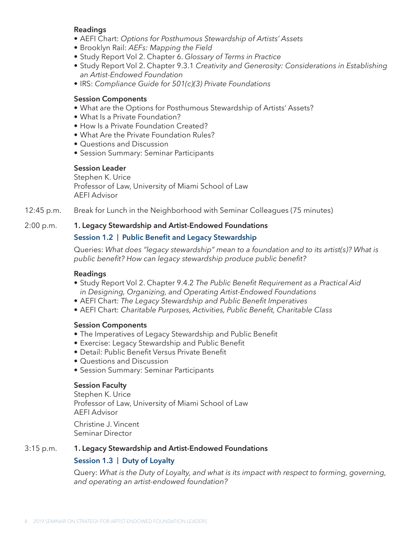#### **Readings**

- AEFI Chart: *Options for Posthumous Stewardship of Artists' Assets*
- Brooklyn Rail: *AEFs: Mapping the Field*
- Study Report Vol 2. Chapter 6. *Glossary of Terms in Practice*
- Study Report Vol 2. Chapter 9.3.1 *Creativity and Generosity: Considerations in Establishing an Artist-Endowed Foundation*
- IRS: *Compliance Guide for 501(c)(3) Private Foundations*

#### **Session Components**

- What are the Options for Posthumous Stewardship of Artists' Assets?
- What Is a Private Foundation?
- How Is a Private Foundation Created?
- What Are the Private Foundation Rules?
- Questions and Discussion
- Session Summary: Seminar Participants

#### **Session Leader**

Stephen K. Urice Professor of Law, University of Miami School of Law AEFI Advisor

12:45 p.m. Break for Lunch in the Neighborhood with Seminar Colleagues (75 minutes)

#### 2:00 p.m. **1. Legacy Stewardship and Artist-Endowed Foundations**

#### **Session 1.2 | Public Benefit and Legacy Stewardship**

Queries: *What does "legacy stewardship" mean to a foundation and to its artist(s)? What is public benefit? How can legacy stewardship produce public benefit?*

#### **Readings**

- Study Report Vol 2. Chapter 9.4.2 *The Public Benefit Requirement as a Practical Aid in Designing, Organizing, and Operating Artist-Endowed Foundations*
- AEFI Chart: *The Legacy Stewardship and Public Benefit Imperatives*
- AEFI Chart: *Charitable Purposes, Activities, Public Benefit, Charitable Class*

#### **Session Components**

- The Imperatives of Legacy Stewardship and Public Benefit
- Exercise: Legacy Stewardship and Public Benefit
- Detail: Public Benefit Versus Private Benefit
- Questions and Discussion
- Session Summary: Seminar Participants

#### **Session Faculty**

Stephen K. Urice Professor of Law, University of Miami School of Law AEFI Advisor

Christine J. Vincent Seminar Director

#### 3:15 p.m. **1. Legacy Stewardship and Artist-Endowed Foundations**

#### **Session 1.3 | Duty of Loyalty**

Query: *What is the Duty of Loyalty, and what is its impact with respect to forming, governing, and operating an artist-endowed foundation?*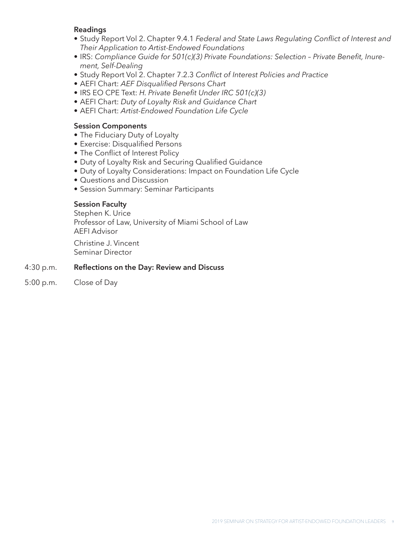#### **Readings**

- Study Report Vol 2. Chapter 9.4.1 *Federal and State Laws Regulating Conflict of Interest and Their Application to Artist-Endowed Foundations*
- IRS: *Compliance Guide for 501(c)(3) Private Foundations: Selection Private Benefit, Inurement, Self-Dealing*
- Study Report Vol 2. Chapter 7.2.3 *Conflict of Interest Policies and Practice*
- AEFI Chart: *AEF Disqualified Persons Chart*
- IRS EO CPE Text: *H. Private Benefit Under IRC 501(c)(3)*
- AEFI Chart: *Duty of Loyalty Risk and Guidance Chart*
- AEFI Chart: *Artist-Endowed Foundation Life Cycle*

#### **Session Components**

- The Fiduciary Duty of Loyalty
- Exercise: Disqualified Persons
- The Conflict of Interest Policy
- Duty of Loyalty Risk and Securing Qualified Guidance
- Duty of Loyalty Considerations: Impact on Foundation Life Cycle
- Questions and Discussion
- Session Summary: Seminar Participants

#### **Session Faculty**

Stephen K. Urice Professor of Law, University of Miami School of Law AEFI Advisor

Christine J. Vincent Seminar Director

#### 4:30 p.m. **Reflections on the Day: Review and Discuss**

5:00 p.m. Close of Day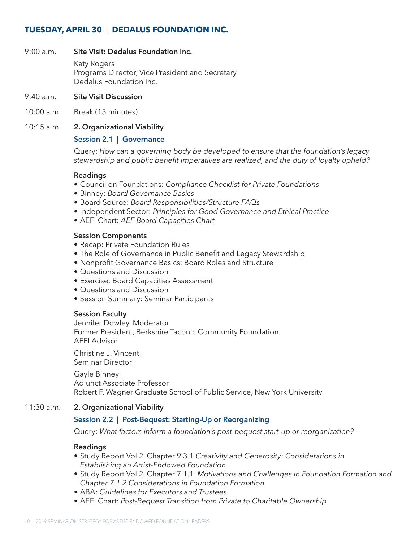#### **TUESDAY, APRIL 30** | **DEDALUS FOUNDATION INC.**

#### 9:00 a.m. **Site Visit: Dedalus Foundation Inc.**

Katy Rogers Programs Director, Vice President and Secretary Dedalus Foundation Inc.

- 9:40 a.m. **Site Visit Discussion**
- 10:00 a.m. Break (15 minutes)

#### 10:15 a.m. **2. Organizational Viability**

#### **Session 2.1 | Governance**

Query: *How can a governing body be developed to ensure that the foundation's legacy stewardship and public benefit imperatives are realized, and the duty of loyalty upheld?*

#### **Readings**

- Council on Foundations: *Compliance Checklist for Private Foundations*
- Binney: *Board Governance Basics*
- Board Source: *Board Responsibilities/Structure FAQs*
- Independent Sector: *Principles for Good Governance and Ethical Practice*
- AEFI Chart: *AEF Board Capacities Chart*

#### **Session Components**

- Recap: Private Foundation Rules
- The Role of Governance in Public Benefit and Legacy Stewardship
- Nonprofit Governance Basics: Board Roles and Structure
- Questions and Discussion
- Exercise: Board Capacities Assessment
- Questions and Discussion
- Session Summary: Seminar Participants

#### **Session Faculty**

Jennifer Dowley, Moderator Former President, Berkshire Taconic Community Foundation AEFI Advisor

Christine J. Vincent Seminar Director

Gayle Binney Adjunct Associate Professor Robert F. Wagner Graduate School of Public Service, New York University

#### 11:30 a.m. **2. Organizational Viability**

#### **Session 2.2 | Post-Bequest: Starting-Up or Reorganizing**

Query: *What factors inform a foundation's post-bequest start-up or reorganization?*

#### **Readings**

- Study Report Vol 2. Chapter 9.3.1 *Creativity and Generosity: Considerations in Establishing an Artist-Endowed Foundation*
- Study Report Vol 2. Chapter 7.1.1. *Motivations and Challenges in Foundation Formation and Chapter 7.1.2 Considerations in Foundation Formation*
- ABA: *Guidelines for Executors and Trustees*
- AEFI Chart: *Post-Bequest Transition from Private to Charitable Ownership*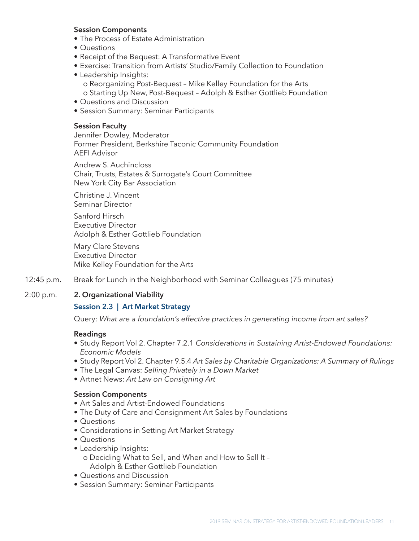#### **Session Components**

- The Process of Estate Administration
- Questions
- Receipt of the Bequest: A Transformative Event
- Exercise: Transition from Artists' Studio/Family Collection to Foundation
- Leadership Insights: o Reorganizing Post-Bequest – Mike Kelley Foundation for the Arts o Starting Up New, Post-Bequest – Adolph & Esther Gottlieb Foundation
- Questions and Discussion
- Session Summary: Seminar Participants

#### **Session Faculty**

Jennifer Dowley, Moderator Former President, Berkshire Taconic Community Foundation AEFI Advisor

Andrew S. Auchincloss Chair, Trusts, Estates & Surrogate's Court Committee New York City Bar Association

Christine J. Vincent Seminar Director

Sanford Hirsch Executive Director Adolph & Esther Gottlieb Foundation

Mary Clare Stevens Executive Director Mike Kelley Foundation for the Arts

12:45 p.m. Break for Lunch in the Neighborhood with Seminar Colleagues (75 minutes)

#### 2:00 p.m. **2. Organizational Viability**

#### **Session 2.3 | Art Market Strategy**

Query: *What are a foundation's effective practices in generating income from art sales?*

#### **Readings**

- Study Report Vol 2. Chapter 7.2.1 *Considerations in Sustaining Artist-Endowed Foundations: Economic Models*
- Study Report Vol 2. Chapter 9.5.4 *Art Sales by Charitable Organizations: A Summary of Rulings*
- The Legal Canvas: *Selling Privately in a Down Market*
- Artnet News: *Art Law on Consigning Art*

#### **Session Components**

- Art Sales and Artist-Endowed Foundations
- The Duty of Care and Consignment Art Sales by Foundations
- Questions
- Considerations in Setting Art Market Strategy
- Questions
- Leadership Insights: o Deciding What to Sell, and When and How to Sell It – Adolph & Esther Gottlieb Foundation
- Questions and Discussion
- Session Summary: Seminar Participants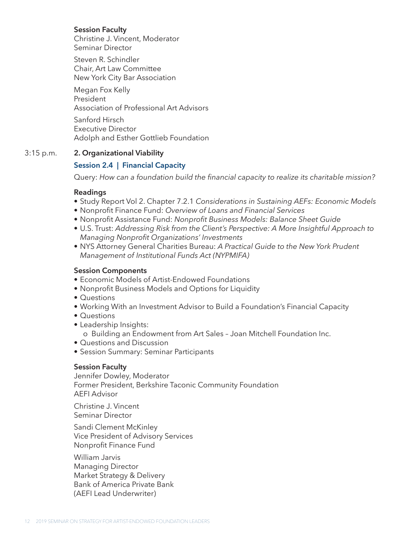#### **Session Faculty**

Christine J. Vincent, Moderator Seminar Director

Steven R. Schindler Chair, Art Law Committee New York City Bar Association

Megan Fox Kelly President Association of Professional Art Advisors

Sanford Hirsch Executive Director Adolph and Esther Gottlieb Foundation

#### 3:15 p.m. **2. Organizational Viability**

#### **Session 2.4 | Financial Capacity**

Query: *How can a foundation build the financial capacity to realize its charitable mission?*

#### **Readings**

- Study Report Vol 2. Chapter 7.2.1 *Considerations in Sustaining AEFs: Economic Models*
- Nonprofit Finance Fund: *Overview of Loans and Financial Services*
- Nonprofit Assistance Fund: *Nonprofit Business Models: Balance Sheet Guide*
- U.S. Trust: *Addressing Risk from the Client's Perspective: A More Insightful Approach to Managing Nonprofit Organizations' Investments*
- NYS Attorney General Charities Bureau: *A Practical Guide to the New York Prudent Management of Institutional Funds Act (NYPMIFA)*

#### **Session Components**

- Economic Models of Artist-Endowed Foundations
- Nonprofit Business Models and Options for Liquidity
- Questions
- Working With an Investment Advisor to Build a Foundation's Financial Capacity
- Questions
- Leadership Insights:

o Building an Endowment from Art Sales – Joan Mitchell Foundation Inc.

- Questions and Discussion
- Session Summary: Seminar Participants

#### **Session Faculty**

Jennifer Dowley, Moderator Former President, Berkshire Taconic Community Foundation AEFI Advisor

Christine J. Vincent Seminar Director

Sandi Clement McKinley Vice President of Advisory Services Nonprofit Finance Fund

William Jarvis Managing Director Market Strategy & Delivery Bank of America Private Bank (AEFI Lead Underwriter)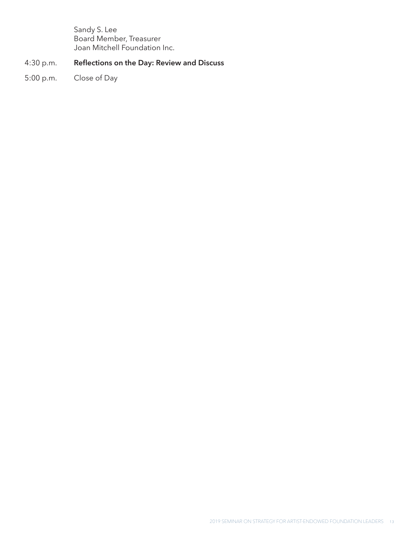Sandy S. Lee Board Member, Treasurer Joan Mitchell Foundation Inc.

#### 4:30 p.m. **Reflections on the Day: Review and Discuss**

5:00 p.m. Close of Day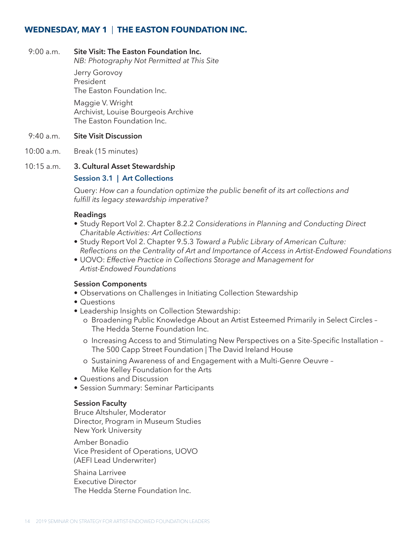#### **WEDNESDAY, MAY 1** | **THE EASTON FOUNDATION INC.**

#### 9:00 a.m. **Site Visit: The Easton Foundation Inc.**

*NB: Photography Not Permitted at This Site*

Jerry Gorovoy President The Easton Foundation Inc.

Maggie V. Wright Archivist, Louise Bourgeois Archive The Easton Foundation Inc.

#### 9:40 a.m. **Site Visit Discussion**

10:00 a.m. Break (15 minutes)

#### 10:15 a.m. **3. Cultural Asset Stewardship**

#### **Session 3.1 | Art Collections**

Query: *How can a foundation optimize the public benefit of its art collections and fulfill its legacy stewardship imperative?*

#### **Readings**

- Study Report Vol 2. Chapter 8.2.2 *Considerations in Planning and Conducting Direct Charitable Activities: Art Collections*
- Study Report Vol 2. Chapter 9.5.3 *Toward a Public Library of American Culture: Reflections on the Centrality of Art and Importance of Access in Artist-Endowed Foundations*
- UOVO: *Effective Practice in Collections Storage and Management for Artist-Endowed Foundations*

#### **Session Components**

- Observations on Challenges in Initiating Collection Stewardship
- Questions
- Leadership Insights on Collection Stewardship:
	- o Broadening Public Knowledge About an Artist Esteemed Primarily in Select Circles The Hedda Sterne Foundation Inc.
	- o Increasing Access to and Stimulating New Perspectives on a Site-Specific Installation The 500 Capp Street Foundation | The David Ireland House
	- o Sustaining Awareness of and Engagement with a Multi-Genre Oeuvre Mike Kelley Foundation for the Arts
- Questions and Discussion
- Session Summary: Seminar Participants

#### **Session Faculty**

Bruce Altshuler, Moderator Director, Program in Museum Studies New York University

Amber Bonadio Vice President of Operations, UOVO (AEFI Lead Underwriter)

Shaina Larrivee Executive Director The Hedda Sterne Foundation Inc.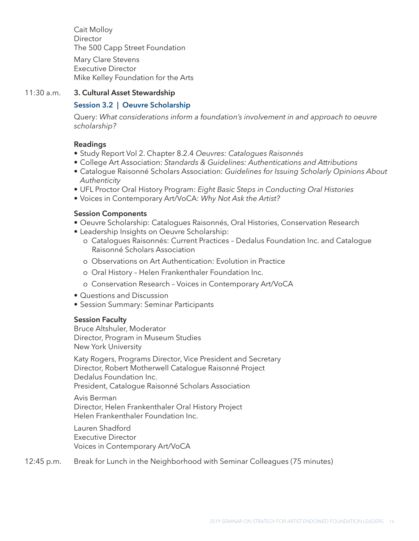Cait Molloy Director The 500 Capp Street Foundation Mary Clare Stevens Executive Director

Mike Kelley Foundation for the Arts

#### 11:30 a.m. **3. Cultural Asset Stewardship**

#### **Session 3.2 | Oeuvre Scholarship**

Query: *What considerations inform a foundation's involvement in and approach to oeuvre scholarship?* 

#### **Readings**

- Study Report Vol 2. Chapter 8.2.4 *Oeuvres: Catalogues Raisonnés*
- College Art Association: *Standards & Guidelines: Authentications and Attributions*
- Catalogue Raisonné Scholars Association: *Guidelines for Issuing Scholarly Opinions About Authenticity*
- UFL Proctor Oral History Program: *Eight Basic Steps in Conducting Oral Histories*
- Voices in Contemporary Art/VoCA: *Why Not Ask the Artist?*

#### **Session Components**

- Oeuvre Scholarship: Catalogues Raisonnés, Oral Histories, Conservation Research
- Leadership Insights on Oeuvre Scholarship:
	- o Catalogues Raisonnés: Current Practices Dedalus Foundation Inc. and Catalogue Raisonné Scholars Association
	- o Observations on Art Authentication: Evolution in Practice
	- o Oral History Helen Frankenthaler Foundation Inc.
	- o Conservation Research Voices in Contemporary Art/VoCA
- Questions and Discussion
- Session Summary: Seminar Participants

#### **Session Faculty**

Bruce Altshuler, Moderator Director, Program in Museum Studies New York University

Katy Rogers, Programs Director, Vice President and Secretary Director, Robert Motherwell Catalogue Raisonné Project Dedalus Foundation Inc. President, Catalogue Raisonné Scholars Association

Avis Berman Director, Helen Frankenthaler Oral History Project Helen Frankenthaler Foundation Inc.

Lauren Shadford Executive Director Voices in Contemporary Art/VoCA

12:45 p.m. Break for Lunch in the Neighborhood with Seminar Colleagues (75 minutes)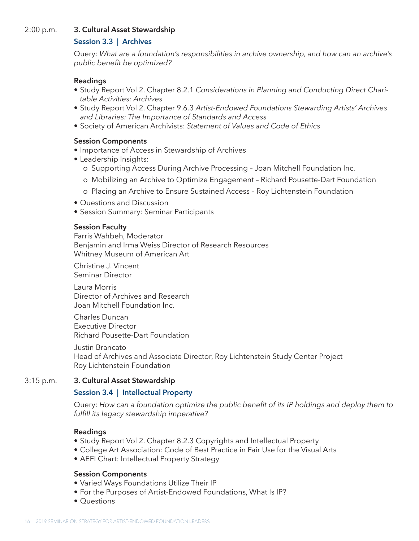#### 2:00 p.m. **3. Cultural Asset Stewardship**

#### **Session 3.3 | Archives**

Query: *What are a foundation's responsibilities in archive ownership, and how can an archive's public benefit be optimized?*

#### **Readings**

- Study Report Vol 2. Chapter 8.2.1 *Considerations in Planning and Conducting Direct Charitable Activities: Archives*
- Study Report Vol 2. Chapter 9.6.3 *Artist-Endowed Foundations Stewarding Artists' Archives and Libraries: The Importance of Standards and Access*
- Society of American Archivists: *Statement of Values and Code of Ethics*

#### **Session Components**

- Importance of Access in Stewardship of Archives
- Leadership Insights:
	- o Supporting Access During Archive Processing Joan Mitchell Foundation Inc.
	- o Mobilizing an Archive to Optimize Engagement Richard Pousette-Dart Foundation
	- o Placing an Archive to Ensure Sustained Access Roy Lichtenstein Foundation
- Questions and Discussion
- Session Summary: Seminar Participants

#### **Session Faculty**

Farris Wahbeh, Moderator Benjamin and Irma Weiss Director of Research Resources Whitney Museum of American Art

Christine J. Vincent Seminar Director

Laura Morris Director of Archives and Research Joan Mitchell Foundation Inc.

Charles Duncan Executive Director Richard Pousette-Dart Foundation

Justin Brancato Head of Archives and Associate Director, Roy Lichtenstein Study Center Project Roy Lichtenstein Foundation

#### 3:15 p.m. **3. Cultural Asset Stewardship**

#### **Session 3.4 | Intellectual Property**

Query: *How can a foundation optimize the public benefit of its IP holdings and deploy them to fulfill its legacy stewardship imperative?*

#### **Readings**

- Study Report Vol 2. Chapter 8.2.3 Copyrights and Intellectual Property
- College Art Association: Code of Best Practice in Fair Use for the Visual Arts
- AEFI Chart: Intellectual Property Strategy

#### **Session Components**

- Varied Ways Foundations Utilize Their IP
- For the Purposes of Artist-Endowed Foundations, What Is IP?
- Questions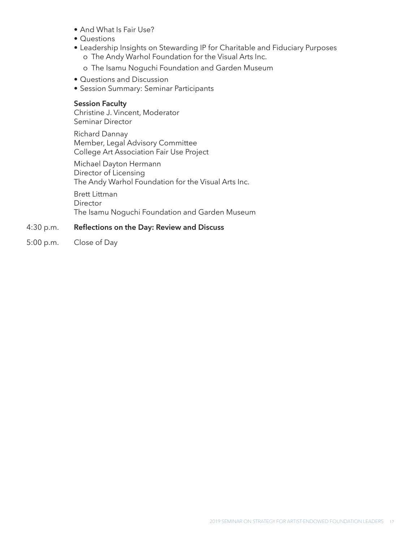- And What Is Fair Use?
- Questions
- Leadership Insights on Stewarding IP for Charitable and Fiduciary Purposes o The Andy Warhol Foundation for the Visual Arts Inc.

o The Isamu Noguchi Foundation and Garden Museum

- Questions and Discussion
- Session Summary: Seminar Participants

#### **Session Faculty**

Christine J. Vincent, Moderator Seminar Director

Richard Dannay Member, Legal Advisory Committee College Art Association Fair Use Project

Michael Dayton Hermann Director of Licensing The Andy Warhol Foundation for the Visual Arts Inc.

Brett Littman **Director** The Isamu Noguchi Foundation and Garden Museum

#### 4:30 p.m. **Reflections on the Day: Review and Discuss**

5:00 p.m. Close of Day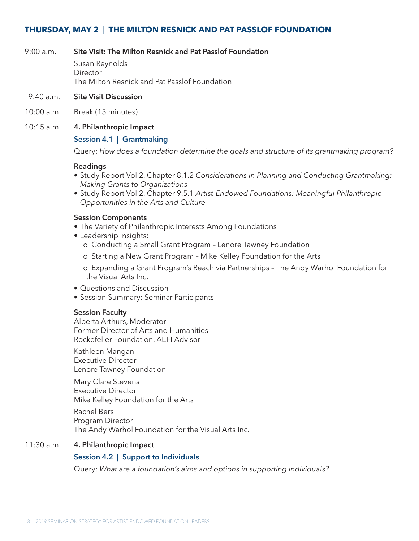#### **THURSDAY, MAY 2** | **THE MILTON RESNICK AND PAT PASSLOF FOUNDATION**

#### 9:00 a.m. **Site Visit: The Milton Resnick and Pat Passlof Foundation**

Susan Reynolds **Director** The Milton Resnick and Pat Passlof Foundation

#### 9:40 a.m. **Site Visit Discussion**

10:00 a.m. Break (15 minutes)

#### 10:15 a.m. **4. Philanthropic Impact**

#### **Session 4.1 | Grantmaking**

Query: *How does a foundation determine the goals and structure of its grantmaking program?*

#### **Readings**

- Study Report Vol 2. Chapter 8.1.2 *Considerations in Planning and Conducting Grantmaking: Making Grants to Organizations*
- Study Report Vol 2. Chapter 9.5.1 *Artist-Endowed Foundations: Meaningful Philanthropic Opportunities in the Arts and Culture*

#### **Session Components**

- The Variety of Philanthropic Interests Among Foundations
- Leadership Insights:
	- o Conducting a Small Grant Program Lenore Tawney Foundation
	- o Starting a New Grant Program Mike Kelley Foundation for the Arts
	- o Expanding a Grant Program's Reach via Partnerships The Andy Warhol Foundation for the Visual Arts Inc.
- Questions and Discussion
- Session Summary: Seminar Participants

#### **Session Faculty**

Alberta Arthurs, Moderator Former Director of Arts and Humanities Rockefeller Foundation, AEFI Advisor

Kathleen Mangan Executive Director Lenore Tawney Foundation

Mary Clare Stevens Executive Director Mike Kelley Foundation for the Arts

Rachel Bers Program Director The Andy Warhol Foundation for the Visual Arts Inc.

#### 11:30 a.m. **4. Philanthropic Impact**

#### **Session 4.2 | Support to Individuals**

Query: *What are a foundation's aims and options in supporting individuals?*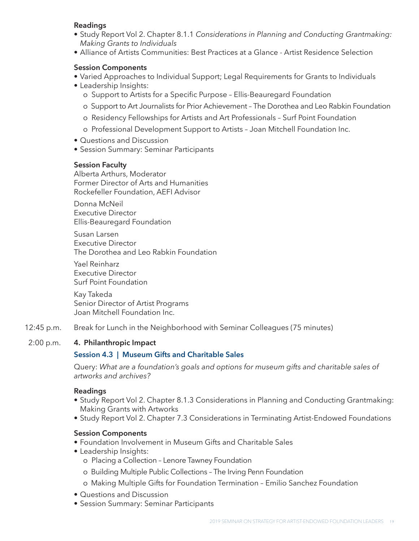#### **Readings**

- Study Report Vol 2. Chapter 8.1.1 *Considerations in Planning and Conducting Grantmaking: Making Grants to Individuals*
- Alliance of Artists Communities: Best Practices at a Glance Artist Residence Selection

#### **Session Components**

- Varied Approaches to Individual Support; Legal Requirements for Grants to Individuals
- Leadership Insights:
	- o Support to Artists for a Specific Purpose Ellis-Beauregard Foundation
	- o Support to Art Journalists for Prior Achievement The Dorothea and Leo Rabkin Foundation
	- o Residency Fellowships for Artists and Art Professionals Surf Point Foundation
	- o Professional Development Support to Artists Joan Mitchell Foundation Inc.
- Questions and Discussion
- Session Summary: Seminar Participants

#### **Session Faculty**

Alberta Arthurs, Moderator Former Director of Arts and Humanities Rockefeller Foundation, AEFI Advisor

Donna McNeil Executive Director Ellis-Beauregard Foundation

Susan Larsen Executive Director The Dorothea and Leo Rabkin Foundation

Yael Reinharz Executive Director Surf Point Foundation

Kay Takeda Senior Director of Artist Programs Joan Mitchell Foundation Inc.

12:45 p.m. Break for Lunch in the Neighborhood with Seminar Colleagues (75 minutes)

#### 2:00 p.m. **4. Philanthropic Impact**

#### **Session 4.3 | Museum Gifts and Charitable Sales**

Query: *What are a foundation's goals and options for museum gifts and charitable sales of artworks and archives?*

#### **Readings**

- Study Report Vol 2. Chapter 8.1.3 Considerations in Planning and Conducting Grantmaking: Making Grants with Artworks
- Study Report Vol 2. Chapter 7.3 Considerations in Terminating Artist-Endowed Foundations

#### **Session Components**

- Foundation Involvement in Museum Gifts and Charitable Sales
- Leadership Insights:
	- o Placing a Collection Lenore Tawney Foundation
	- o Building Multiple Public Collections The Irving Penn Foundation
	- o Making Multiple Gifts for Foundation Termination Emilio Sanchez Foundation
- Questions and Discussion
- Session Summary: Seminar Participants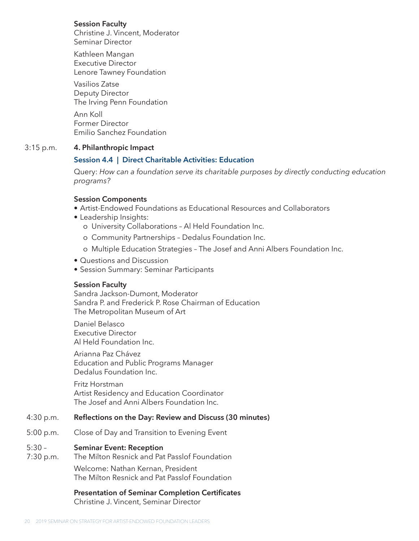#### **Session Faculty**

Christine J. Vincent, Moderator Seminar Director

Kathleen Mangan Executive Director Lenore Tawney Foundation

Vasilios Zatse Deputy Director The Irving Penn Foundation

Ann Koll Former Director Emilio Sanchez Foundation

#### 3:15 p.m. **4. Philanthropic Impact**

#### **Session 4.4 | Direct Charitable Activities: Education**

Query: *How can a foundation serve its charitable purposes by directly conducting education programs?* 

#### **Session Components**

- Artist-Endowed Foundations as Educational Resources and Collaborators
- Leadership Insights:
	- o University Collaborations Al Held Foundation Inc.
	- o Community Partnerships Dedalus Foundation Inc.
	- o Multiple Education Strategies The Josef and Anni Albers Foundation Inc.
- Questions and Discussion
- Session Summary: Seminar Participants

#### **Session Faculty**

Sandra Jackson-Dumont, Moderator Sandra P. and Frederick P. Rose Chairman of Education The Metropolitan Museum of Art

Daniel Belasco Executive Director Al Held Foundation Inc.

Arianna Paz Chávez Education and Public Programs Manager Dedalus Foundation Inc.

Fritz Horstman Artist Residency and Education Coordinator The Josef and Anni Albers Foundation Inc.

#### 4:30 p.m. **Reflections on the Day: Review and Discuss (30 minutes)**

5:00 p.m. Close of Day and Transition to Evening Event

#### 5:30 – **Seminar Event: Reception**

7:30 p.m. The Milton Resnick and Pat Passlof Foundation

Welcome: Nathan Kernan, President The Milton Resnick and Pat Passlof Foundation

**Presentation of Seminar Completion Certificates** Christine J. Vincent, Seminar Director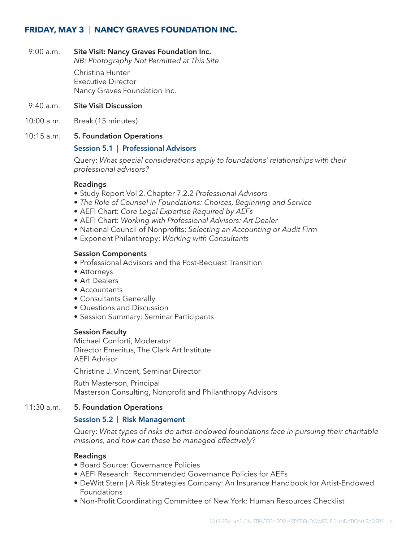#### **FRIDAY, MAY 3** | **NANCY GRAVES FOUNDATION INC.**

#### 9:00 a.m. **Site Visit: Nancy Graves Foundation Inc.**

*NB: Photography Not Permitted at This Site*

Christina Hunter Executive Director Nancy Graves Foundation Inc.

- 9:40 a.m. **Site Visit Discussion**
- 10:00 a.m. Break (15 minutes)

#### 10:15 a.m. **5. Foundation Operations**

#### **Session 5.1 | Professional Advisors**

Query: *What special considerations apply to foundations' relationships with their professional advisors?*

#### **Readings**

- Study Report Vol 2. Chapter 7.2.2 *Professional Advisors*
- *• The Role of Counsel in Foundations: Choices, Beginning and Service*
- AEFI Chart: *Core Legal Expertise Required by AEFs*
- AEFI Chart: *Working with Professional Advisors: Art Dealer*
- National Council of Nonprofits: *Selecting an Accounting or Audit Firm*
- Exponent Philanthropy: *Working with Consultants*

#### **Session Components**

- Professional Advisors and the Post-Bequest Transition
- Attorneys
- Art Dealers
- Accountants
- Consultants Generally
- Questions and Discussion
- Session Summary: Seminar Participants

#### **Session Faculty**

Michael Conforti, Moderator Director Emeritus, The Clark Art Institute AEFI Advisor

Christine J. Vincent, Seminar Director

Ruth Masterson, Principal Masterson Consulting, Nonprofit and Philanthropy Advisors

#### 11:30 a.m. **5. Foundation Operations**

#### **Session 5.2 | Risk Management**

Query: *What types of risks do artist-endowed foundations face in pursuing their charitable missions, and how can these be managed effectively?*

#### **Readings**

- Board Source: Governance Policies
- AEFI Research: Recommended Governance Policies for AEFs
- DeWitt Stern | A Risk Strategies Company: An Insurance Handbook for Artist-Endowed Foundations
- Non-Profit Coordinating Committee of New York: Human Resources Checklist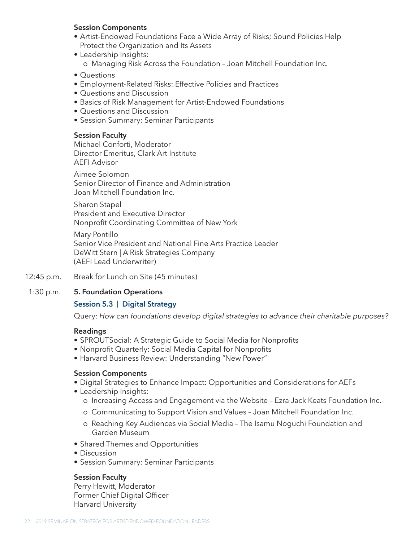#### **Session Components**

- Artist-Endowed Foundations Face a Wide Array of Risks; Sound Policies Help Protect the Organization and Its Assets
- Leadership Insights: o Managing Risk Across the Foundation – Joan Mitchell Foundation Inc.
- Questions
- Employment-Related Risks: Effective Policies and Practices
- Questions and Discussion
- Basics of Risk Management for Artist-Endowed Foundations
- Questions and Discussion
- Session Summary: Seminar Participants

#### **Session Faculty**

Michael Conforti, Moderator Director Emeritus, Clark Art Institute AEFI Advisor

Aimee Solomon Senior Director of Finance and Administration Joan Mitchell Foundation Inc.

Sharon Stapel President and Executive Director Nonprofit Coordinating Committee of New York

Mary Pontillo Senior Vice President and National Fine Arts Practice Leader DeWitt Stern | A Risk Strategies Company (AEFI Lead Underwriter)

12:45 p.m. Break for Lunch on Site (45 minutes)

#### 1:30 p.m. **5. Foundation Operations**

#### **Session 5.3 | Digital Strategy**

Query: *How can foundations develop digital strategies to advance their charitable purposes?*

#### **Readings**

- SPROUTSocial: A Strategic Guide to Social Media for Nonprofits
- Nonprofit Quarterly: Social Media Capital for Nonprofits
- Harvard Business Review: Understanding "New Power"

#### **Session Components**

- Digital Strategies to Enhance Impact: Opportunities and Considerations for AEFs
- Leadership Insights:
	- o Increasing Access and Engagement via the Website Ezra Jack Keats Foundation Inc.
	- o Communicating to Support Vision and Values Joan Mitchell Foundation Inc.
	- o Reaching Key Audiences via Social Media The Isamu Noguchi Foundation and Garden Museum
- Shared Themes and Opportunities
- Discussion
- Session Summary: Seminar Participants

#### **Session Faculty**

Perry Hewitt, Moderator Former Chief Digital Officer Harvard University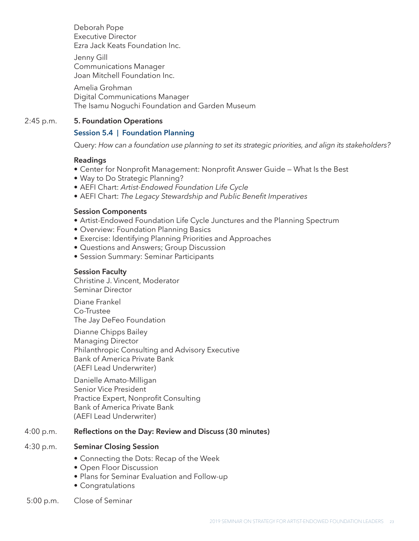Deborah Pope Executive Director Ezra Jack Keats Foundation Inc.

Jenny Gill Communications Manager Joan Mitchell Foundation Inc.

Amelia Grohman Digital Communications Manager The Isamu Noguchi Foundation and Garden Museum

#### 2:45 p.m. **5. Foundation Operations**

#### **Session 5.4 | Foundation Planning**

Query: *How can a foundation use planning to set its strategic priorities, and align its stakeholders?* 

#### **Readings**

- Center for Nonprofit Management: Nonprofit Answer Guide What Is the Best
- Way to Do Strategic Planning?
- AEFI Chart: *Artist-Endowed Foundation Life Cycle*
- AEFI Chart: *The Legacy Stewardship and Public Benefit Imperatives*

#### **Session Components**

- Artist-Endowed Foundation Life Cycle Junctures and the Planning Spectrum
- Overview: Foundation Planning Basics
- Exercise: Identifying Planning Priorities and Approaches
- Questions and Answers; Group Discussion
- Session Summary: Seminar Participants

#### **Session Faculty**

Christine J. Vincent, Moderator Seminar Director

Diane Frankel Co-Trustee The Jay DeFeo Foundation

Dianne Chipps Bailey Managing Director Philanthropic Consulting and Advisory Executive Bank of America Private Bank (AEFI Lead Underwriter)

Danielle Amato-Milligan Senior Vice President Practice Expert, Nonprofit Consulting Bank of America Private Bank (AEFI Lead Underwriter)

#### 4:00 p.m. **Reflections on the Day: Review and Discuss (30 minutes)**

#### 4:30 p.m. **Seminar Closing Session**

- Connecting the Dots: Recap of the Week
- Open Floor Discussion
- Plans for Seminar Evaluation and Follow-up
- Congratulations
- 5:00 p.m. Close of Seminar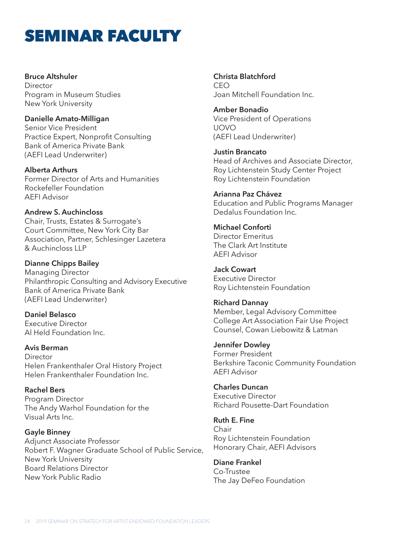## SEMINAR FACULTY

#### **Bruce Altshuler**

**Director** Program in Museum Studies New York University

#### **Danielle Amato-Milligan**

Senior Vice President Practice Expert, Nonprofit Consulting Bank of America Private Bank (AEFI Lead Underwriter)

**Alberta Arthurs** Former Director of Arts and Humanities Rockefeller Foundation AEFI Advisor

**Andrew S. Auchincloss** 

Chair, Trusts, Estates & Surrogate's Court Committee, New York City Bar Association, Partner, Schlesinger Lazetera & Auchincloss LLP

**Dianne Chipps Bailey**

Managing Director Philanthropic Consulting and Advisory Executive Bank of America Private Bank (AEFI Lead Underwriter)

**Daniel Belasco** Executive Director Al Held Foundation Inc.

**Avis Berman Director** Helen Frankenthaler Oral History Project Helen Frankenthaler Foundation Inc.

**Rachel Bers** Program Director The Andy Warhol Foundation for the Visual Arts Inc.

**Gayle Binney** Adjunct Associate Professor Robert F. Wagner Graduate School of Public Service, New York University Board Relations Director New York Public Radio

**Christa Blatchford** CEO Joan Mitchell Foundation Inc.

**Amber Bonadio** Vice President of Operations UOVO (AEFI Lead Underwriter)

**Justin Brancato** Head of Archives and Associate Director, Roy Lichtenstein Study Center Project Roy Lichtenstein Foundation

**Arianna Paz Chávez**

Education and Public Programs Manager Dedalus Foundation Inc.

**Michael Conforti** Director Emeritus The Clark Art Institute AEFI Advisor

**Jack Cowart** Executive Director Roy Lichtenstein Foundation

**Richard Dannay** Member, Legal Advisory Committee College Art Association Fair Use Project Counsel, Cowan Liebowitz & Latman

**Jennifer Dowley** Former President Berkshire Taconic Community Foundation AEFI Advisor

**Charles Duncan** Executive Director Richard Pousette-Dart Foundation

**Ruth E. Fine** Chair Roy Lichtenstein Foundation Honorary Chair, AEFI Advisors

**Diane Frankel** Co-Trustee The Jay DeFeo Foundation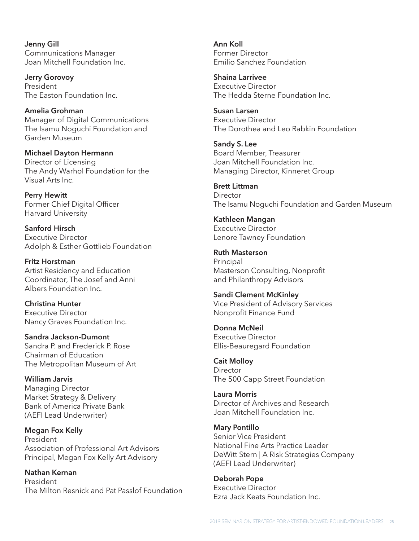**Jenny Gill** Communications Manager Joan Mitchell Foundation Inc.

**Jerry Gorovoy** President The Easton Foundation Inc.

**Amelia Grohman** Manager of Digital Communications The Isamu Noguchi Foundation and Garden Museum

**Michael Dayton Hermann** Director of Licensing The Andy Warhol Foundation for the Visual Arts Inc.

**Perry Hewitt** Former Chief Digital Officer Harvard University

**Sanford Hirsch** Executive Director Adolph & Esther Gottlieb Foundation

**Fritz Horstman** Artist Residency and Education Coordinator, The Josef and Anni Albers Foundation Inc.

**Christina Hunter** Executive Director Nancy Graves Foundation Inc.

**Sandra Jackson-Dumont** Sandra P. and Frederick P. Rose Chairman of Education The Metropolitan Museum of Art

**William Jarvis** Managing Director Market Strategy & Delivery Bank of America Private Bank (AEFI Lead Underwriter)

**Megan Fox Kelly** President Association of Professional Art Advisors Principal, Megan Fox Kelly Art Advisory

**Nathan Kernan** President The Milton Resnick and Pat Passlof Foundation **Ann Koll** Former Director Emilio Sanchez Foundation

**Shaina Larrivee** Executive Director The Hedda Sterne Foundation Inc.

**Susan Larsen** Executive Director The Dorothea and Leo Rabkin Foundation

**Sandy S. Lee** Board Member, Treasurer Joan Mitchell Foundation Inc. Managing Director, Kinneret Group

**Brett Littman Director** The Isamu Noguchi Foundation and Garden Museum

**Kathleen Mangan** Executive Director Lenore Tawney Foundation

**Ruth Masterson** Principal Masterson Consulting, Nonprofit and Philanthropy Advisors

**Sandi Clement McKinley** Vice President of Advisory Services Nonprofit Finance Fund

**Donna McNeil** Executive Director Ellis-Beauregard Foundation

**Cait Molloy** Director The 500 Capp Street Foundation

**Laura Morris** Director of Archives and Research Joan Mitchell Foundation Inc.

**Mary Pontillo** Senior Vice President National Fine Arts Practice Leader DeWitt Stern | A Risk Strategies Company (AEFI Lead Underwriter)

**Deborah Pope** Executive Director Ezra Jack Keats Foundation Inc.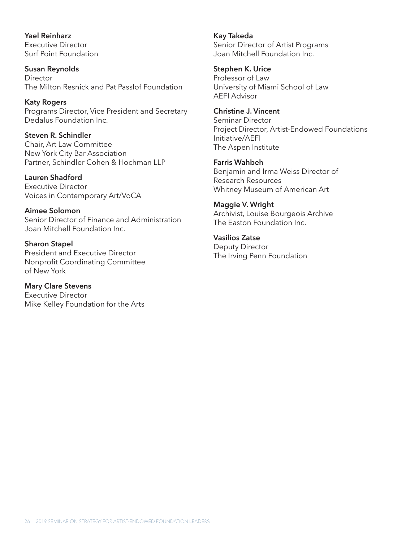**Yael Reinharz** Executive Director Surf Point Foundation

**Susan Reynolds Director** The Milton Resnick and Pat Passlof Foundation

**Katy Rogers** Programs Director, Vice President and Secretary Dedalus Foundation Inc.

**Steven R. Schindler** Chair, Art Law Committee New York City Bar Association Partner, Schindler Cohen & Hochman LLP

**Lauren Shadford** Executive Director Voices in Contemporary Art/VoCA

**Aimee Solomon** Senior Director of Finance and Administration Joan Mitchell Foundation Inc.

**Sharon Stapel** President and Executive Director Nonprofit Coordinating Committee of New York

**Mary Clare Stevens** Executive Director Mike Kelley Foundation for the Arts **Kay Takeda** Senior Director of Artist Programs Joan Mitchell Foundation Inc.

**Stephen K. Urice** Professor of Law University of Miami School of Law AEFI Advisor

**Christine J. Vincent** Seminar Director Project Director, Artist-Endowed Foundations Initiative/AEFI The Aspen Institute

**Farris Wahbeh** Benjamin and Irma Weiss Director of Research Resources Whitney Museum of American Art

**Maggie V. Wright** Archivist, Louise Bourgeois Archive The Easton Foundation Inc.

**Vasilios Zatse** Deputy Director The Irving Penn Foundation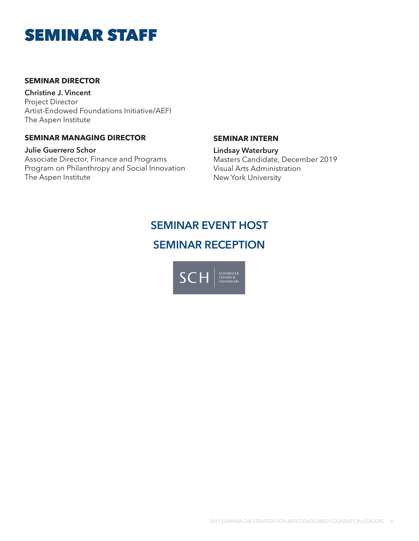### SEMINAR STAFF

#### **SEMINAR DIRECTOR**

**Christine J. Vincent** Project Director Artist-Endowed Foundations Initiative/AEFI The Aspen Institute

#### **SEMINAR MANAGING DIRECTOR**

**Julie Guerrero Schor** Associate Director, Finance and Programs Program on Philanthropy and Social Innovation The Aspen Institute

#### **SEMINAR INTERN**

**Lindsay Waterbury** Masters Candidate, December 2019 Visual Arts Administration New York University

### **SEMINAR EVENT HOST SEMINAR RECEPTION**

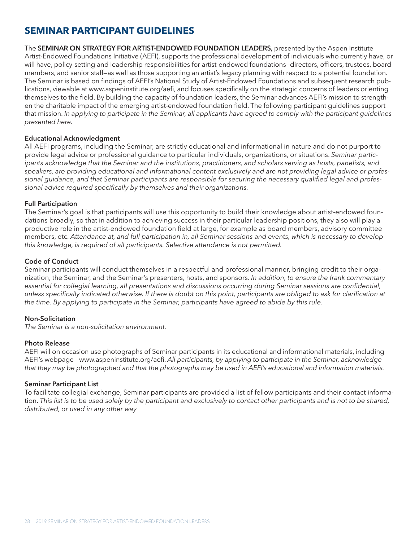### **SEMINAR PARTICIPANT GUIDELINES**

The **SEMINAR ON STRATEGY FOR ARTIST-ENDOWED FOUNDATION LEADERS,** presented by the Aspen Institute Artist-Endowed Foundations Initiative (AEFI), supports the professional development of individuals who currently have, or will have, policy-setting and leadership responsibilities for artist-endowed foundations—directors, officers, trustees, board members, and senior staff—as well as those supporting an artist's legacy planning with respect to a potential foundation. The Seminar is based on findings of AEFI's National Study of Artist-Endowed Foundations and subsequent research publications, viewable at www.aspeninstitute.org/aefi, and focuses specifically on the strategic concerns of leaders orienting themselves to the field. By building the capacity of foundation leaders, the Seminar advances AEFI's mission to strengthen the charitable impact of the emerging artist-endowed foundation field. The following participant guidelines support that mission. *In applying to participate in the Seminar, all applicants have agreed to comply with the participant guidelines presented here.*

#### **Educational Acknowledgment**

All AEFI programs, including the Seminar, are strictly educational and informational in nature and do not purport to provide legal advice or professional guidance to particular individuals, organizations, or situations. *Seminar partic*ipants acknowledge that the Seminar and the institutions, practitioners, and scholars serving as hosts, panelists, and *speakers, are providing educational and informational content exclusively and are not providing legal advice or professional guidance, and that Seminar participants are responsible for securing the necessary qualified legal and professional advice required specifically by themselves and their organizations.*

#### **Full Participation**

The Seminar's goal is that participants will use this opportunity to build their knowledge about artist-endowed foundations broadly, so that in addition to achieving success in their particular leadership positions, they also will play a productive role in the artist-endowed foundation field at large, for example as board members, advisory committee members, etc. *Attendance at, and full participation in, all Seminar sessions and events, which is necessary to develop this knowledge, is required of all participants. Selective attendance is not permitted.*

#### **Code of Conduct**

Seminar participants will conduct themselves in a respectful and professional manner, bringing credit to their organization, the Seminar, and the Seminar's presenters, hosts, and sponsors. *In addition, to ensure the frank commentary essential for collegial learning, all presentations and discussions occurring during Seminar sessions are confidential, unless specifically indicated otherwise. If there is doubt on this point, participants are obliged to ask for clarification at the time. By applying to participate in the Seminar, participants have agreed to abide by this rule.*

#### **Non-Solicitation**

*The Seminar is a non-solicitation environment.* 

#### **Photo Release**

AEFI will on occasion use photographs of Seminar participants in its educational and informational materials, including AEFI's webpage - www.aspeninstitute.org/aefi. *All participants, by applying to participate in the Seminar, acknowledge that they may be photographed and that the photographs may be used in AEFI's educational and information materials.*

#### **Seminar Participant List**

To facilitate collegial exchange, Seminar participants are provided a list of fellow participants and their contact information. *This list is to be used solely by the participant and exclusively to contact other participants and is not to be shared, distributed, or used in any other way*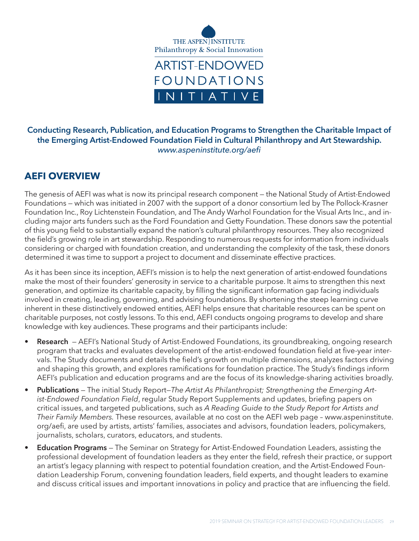

#### **Conducting Research, Publication, and Education Programs to Strengthen the Charitable Impact of the Emerging Artist-Endowed Foundation Field in Cultural Philanthropy and Art Stewardship.** *www.aspeninstitute.org/aefi*

#### **AEFI OVERVIEW**

The genesis of AEFI was what is now its principal research component — the National Study of Artist-Endowed Foundations — which was initiated in 2007 with the support of a donor consortium led by The Pollock-Krasner Foundation Inc., Roy Lichtenstein Foundation, and The Andy Warhol Foundation for the Visual Arts Inc., and including major arts funders such as the Ford Foundation and Getty Foundation. These donors saw the potential of this young field to substantially expand the nation's cultural philanthropy resources. They also recognized the field's growing role in art stewardship. Responding to numerous requests for information from individuals considering or charged with foundation creation, and understanding the complexity of the task, these donors determined it was time to support a project to document and disseminate effective practices.

As it has been since its inception, AEFI's mission is to help the next generation of artist-endowed foundations make the most of their founders' generosity in service to a charitable purpose. It aims to strengthen this next generation, and optimize its charitable capacity, by filling the significant information gap facing individuals involved in creating, leading, governing, and advising foundations. By shortening the steep learning curve inherent in these distinctively endowed entities, AEFI helps ensure that charitable resources can be spent on charitable purposes, not costly lessons. To this end, AEFI conducts ongoing programs to develop and share knowledge with key audiences. These programs and their participants include:

- **• Research** AEFI's National Study of Artist-Endowed Foundations, its groundbreaking, ongoing research program that tracks and evaluates development of the artist-endowed foundation field at five-year intervals. The Study documents and details the field's growth on multiple dimensions, analyzes factors driving and shaping this growth, and explores ramifications for foundation practice. The Study's findings inform AEFI's publication and education programs and are the focus of its knowledge-sharing activities broadly.
- **• Publications** The initial Study Report—*The Artist As Philanthropist; Strengthening the Emerging Artist-Endowed Foundation Field*, regular Study Report Supplements and updates, briefing papers on critical issues, and targeted publications, such as *A Reading Guide to the Study Report for Artists and Their Family Members.* These resources, available at no cost on the AEFI web page – www.aspeninstitute. org/aefi, are used by artists, artists' families, associates and advisors, foundation leaders, policymakers, journalists, scholars, curators, educators, and students.
- **• Education Programs** The Seminar on Strategy for Artist-Endowed Foundation Leaders, assisting the professional development of foundation leaders as they enter the field, refresh their practice, or support an artist's legacy planning with respect to potential foundation creation, and the Artist-Endowed Foundation Leadership Forum, convening foundation leaders, field experts, and thought leaders to examine and discuss critical issues and important innovations in policy and practice that are influencing the field.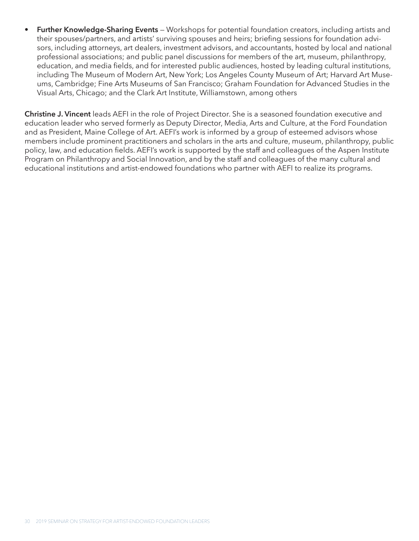**• Further Knowledge-Sharing Events** — Workshops for potential foundation creators, including artists and their spouses/partners, and artists' surviving spouses and heirs; briefing sessions for foundation advisors, including attorneys, art dealers, investment advisors, and accountants, hosted by local and national professional associations; and public panel discussions for members of the art, museum, philanthropy, education, and media fields, and for interested public audiences, hosted by leading cultural institutions, including The Museum of Modern Art, New York; Los Angeles County Museum of Art; Harvard Art Museums, Cambridge; Fine Arts Museums of San Francisco; Graham Foundation for Advanced Studies in the Visual Arts, Chicago; and the Clark Art Institute, Williamstown, among others

**Christine J. Vincent** leads AEFI in the role of Project Director. She is a seasoned foundation executive and education leader who served formerly as Deputy Director, Media, Arts and Culture, at the Ford Foundation and as President, Maine College of Art. AEFI's work is informed by a group of esteemed advisors whose members include prominent practitioners and scholars in the arts and culture, museum, philanthropy, public policy, law, and education fields. AEFI's work is supported by the staff and colleagues of the Aspen Institute Program on Philanthropy and Social Innovation, and by the staff and colleagues of the many cultural and educational institutions and artist-endowed foundations who partner with AEFI to realize its programs.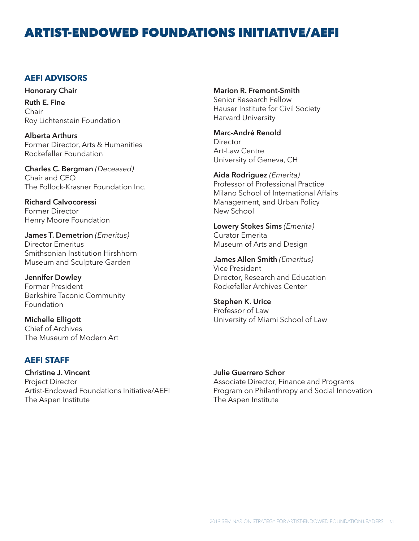### ARTIST-ENDOWED FOUNDATIONS INITIATIVE/AEFI

#### **AEFI ADVISORS**

**Honorary Chair Ruth E. Fine** Chair Roy Lichtenstein Foundation

**Alberta Arthurs** Former Director, Arts & Humanities Rockefeller Foundation

**Charles C. Bergman** *(Deceased)* Chair and CEO The Pollock-Krasner Foundation Inc.

**Richard Calvocoressi** Former Director Henry Moore Foundation

**James T. Demetrion** *(Emeritus)* Director Emeritus Smithsonian Institution Hirshhorn Museum and Sculpture Garden

**Jennifer Dowley** Former President Berkshire Taconic Community Foundation

**Michelle Elligott** Chief of Archives The Museum of Modern Art

#### **AEFI STAFF**

**Christine J. Vincent** Project Director Artist-Endowed Foundations Initiative/AEFI The Aspen Institute

**Marion R. Fremont-Smith**

Senior Research Fellow Hauser Institute for Civil Society Harvard University

**Marc-André Renold** Director Art-Law Centre University of Geneva, CH

**Aida Rodriguez** *(Emerita)* Professor of Professional Practice Milano School of International Affairs Management, and Urban Policy New School

**Lowery Stokes Sims** *(Emerita)* Curator Emerita Museum of Arts and Design

**James Allen Smith** *(Emeritus)* Vice President Director, Research and Education Rockefeller Archives Center

**Stephen K. Urice** Professor of Law University of Miami School of Law

#### **Julie Guerrero Schor**

Associate Director, Finance and Programs Program on Philanthropy and Social Innovation The Aspen Institute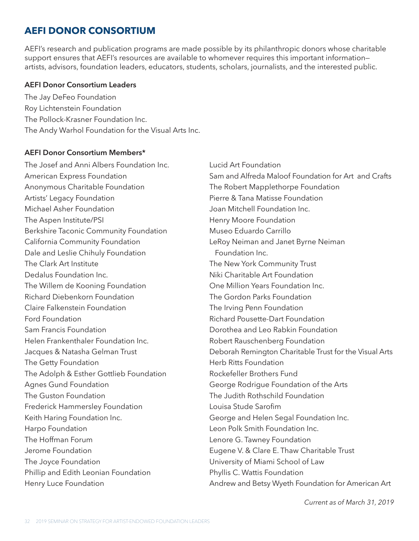### **AEFI DONOR CONSORTIUM**

AEFI's research and publication programs are made possible by its philanthropic donors whose charitable support ensures that AEFI's resources are available to whomever requires this important information– artists, advisors, foundation leaders, educators, students, scholars, journalists, and the interested public.

#### **AEFI Donor Consortium Leaders**

The Jay DeFeo Foundation Roy Lichtenstein Foundation The Pollock-Krasner Foundation Inc. The Andy Warhol Foundation for the Visual Arts Inc.

#### **AEFI Donor Consortium Members\***

The Josef and Anni Albers Foundation Inc. American Express Foundation Anonymous Charitable Foundation Artists' Legacy Foundation Michael Asher Foundation The Aspen Institute/PSI Berkshire Taconic Community Foundation California Community Foundation Dale and Leslie Chihuly Foundation The Clark Art Institute Dedalus Foundation Inc. The Willem de Kooning Foundation Richard Diebenkorn Foundation Claire Falkenstein Foundation Ford Foundation Sam Francis Foundation Helen Frankenthaler Foundation Inc. Jacques & Natasha Gelman Trust The Getty Foundation The Adolph & Esther Gottlieb Foundation Agnes Gund Foundation The Guston Foundation Frederick Hammersley Foundation Keith Haring Foundation Inc. Harpo Foundation The Hoffman Forum Jerome Foundation The Joyce Foundation Phillip and Edith Leonian Foundation Henry Luce Foundation

Lucid Art Foundation Sam and Alfreda Maloof Foundation for Art and Crafts The Robert Mapplethorpe Foundation Pierre & Tana Matisse Foundation Joan Mitchell Foundation Inc. Henry Moore Foundation Museo Eduardo Carrillo LeRoy Neiman and Janet Byrne Neiman Foundation Inc. The New York Community Trust Niki Charitable Art Foundation One Million Years Foundation Inc. The Gordon Parks Foundation The Irving Penn Foundation Richard Pousette-Dart Foundation Dorothea and Leo Rabkin Foundation Robert Rauschenberg Foundation Deborah Remington Charitable Trust for the Visual Arts Herb Ritts Foundation Rockefeller Brothers Fund George Rodrigue Foundation of the Arts The Judith Rothschild Foundation Louisa Stude Sarofim George and Helen Segal Foundation Inc. Leon Polk Smith Foundation Inc. Lenore G. Tawney Foundation Eugene V. & Clare E. Thaw Charitable Trust University of Miami School of Law Phyllis C. Wattis Foundation Andrew and Betsy Wyeth Foundation for American Art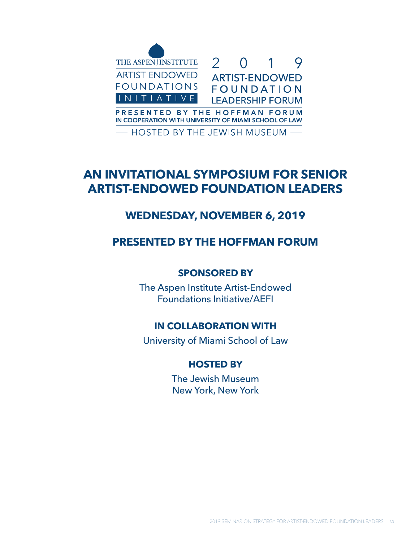

### **AN INVITATIONAL SYMPOSIUM FOR SENIOR ARTIST-ENDOWED FOUNDATION LEADERS**

### **WEDNESDAY, NOVEMBER 6, 2019**

### **PRESENTED BY THE HOFFMAN FORUM**

#### **SPONSORED BY**

The Aspen Institute Artist-Endowed Foundations Initiative/AEFI

### **IN COLLABORATION WITH**

University of Miami School of Law

#### **HOSTED BY**

The Jewish Museum New York, New York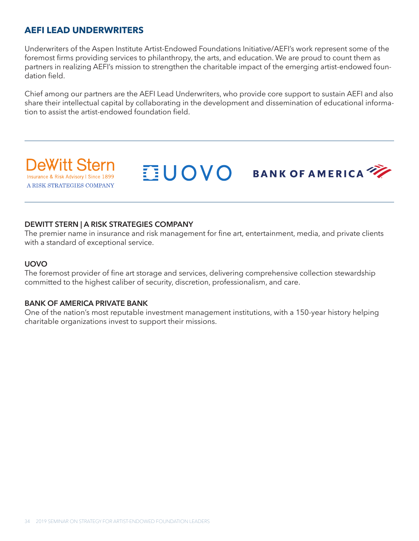#### **AEFI LEAD UNDERWRITERS**

Underwriters of the Aspen Institute Artist-Endowed Foundations Initiative/AEFI's work represent some of the foremost firms providing services to philanthropy, the arts, and education. We are proud to count them as partners in realizing AEFI's mission to strengthen the charitable impact of the emerging artist-endowed foundation field.

Chief among our partners are the AEFI Lead Underwriters, who provide core support to sustain AEFI and also share their intellectual capital by collaborating in the development and dissemination of educational information to assist the artist-endowed foundation field.

**UOVO** BANK OF AMERICA

**eWitt Ster** Insurance & Risk Advisory I Since 1899 A RISK STRATEGIES COMPANY

#### **DEWITT STERN | A RISK STRATEGIES COMPANY**

The premier name in insurance and risk management for fine art, entertainment, media, and private clients with a standard of exceptional service.

#### **UOVO**

The foremost provider of fine art storage and services, delivering comprehensive collection stewardship committed to the highest caliber of security, discretion, professionalism, and care.

#### **BANK OF AMERICA PRIVATE BANK**

One of the nation's most reputable investment management institutions, with a 150-year history helping charitable organizations invest to support their missions.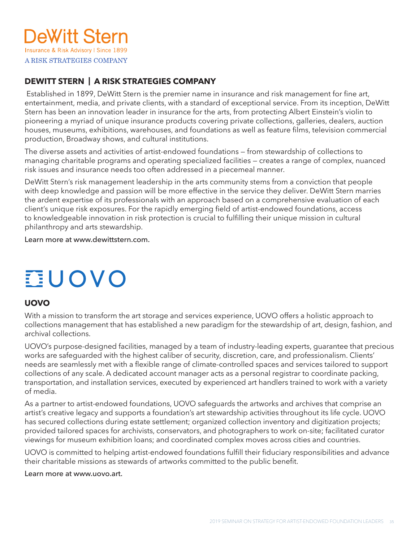

#### **DEWITT STERN | A RISK STRATEGIES COMPANY**

 Established in 1899, DeWitt Stern is the premier name in insurance and risk management for fine art, entertainment, media, and private clients, with a standard of exceptional service. From its inception, DeWitt Stern has been an innovation leader in insurance for the arts, from protecting Albert Einstein's violin to pioneering a myriad of unique insurance products covering private collections, galleries, dealers, auction houses, museums, exhibitions, warehouses, and foundations as well as feature films, television commercial production, Broadway shows, and cultural institutions.

The diverse assets and activities of artist-endowed foundations — from stewardship of collections to managing charitable programs and operating specialized facilities — creates a range of complex, nuanced risk issues and insurance needs too often addressed in a piecemeal manner.

DeWitt Stern's risk management leadership in the arts community stems from a conviction that people with deep knowledge and passion will be more effective in the service they deliver. DeWitt Stern marries the ardent expertise of its professionals with an approach based on a comprehensive evaluation of each client's unique risk exposures. For the rapidly emerging field of artist-endowed foundations, access to knowledgeable innovation in risk protection is crucial to fulfilling their unique mission in cultural philanthropy and arts stewardship.

Learn more at www.dewittstern.com.

# **EUOVO**

#### **UOVO**

With a mission to transform the art storage and services experience, UOVO offers a holistic approach to collections management that has established a new paradigm for the stewardship of art, design, fashion, and archival collections.

UOVO's purpose-designed facilities, managed by a team of industry-leading experts, guarantee that precious works are safeguarded with the highest caliber of security, discretion, care, and professionalism. Clients' needs are seamlessly met with a flexible range of climate-controlled spaces and services tailored to support collections of any scale. A dedicated account manager acts as a personal registrar to coordinate packing, transportation, and installation services, executed by experienced art handlers trained to work with a variety of media.

As a partner to artist-endowed foundations, UOVO safeguards the artworks and archives that comprise an artist's creative legacy and supports a foundation's art stewardship activities throughout its life cycle. UOVO has secured collections during estate settlement; organized collection inventory and digitization projects; provided tailored spaces for archivists, conservators, and photographers to work on-site; facilitated curator viewings for museum exhibition loans; and coordinated complex moves across cities and countries.

UOVO is committed to helping artist-endowed foundations fulfill their fiduciary responsibilities and advance their charitable missions as stewards of artworks committed to the public benefit.

Learn more at www.uovo.art.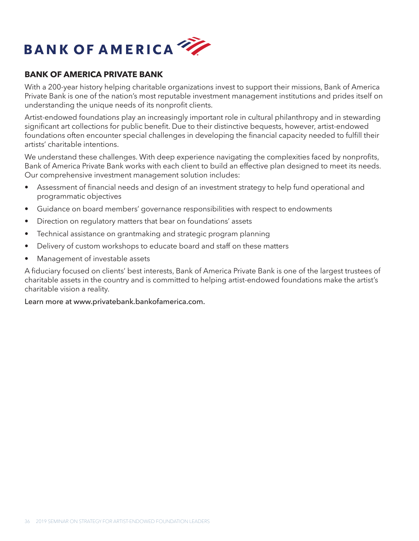

#### **BANK OF AMERICA PRIVATE BANK**

With a 200-year history helping charitable organizations invest to support their missions, Bank of America Private Bank is one of the nation's most reputable investment management institutions and prides itself on understanding the unique needs of its nonprofit clients.

Artist-endowed foundations play an increasingly important role in cultural philanthropy and in stewarding significant art collections for public benefit. Due to their distinctive bequests, however, artist-endowed foundations often encounter special challenges in developing the financial capacity needed to fulfill their artists' charitable intentions.

We understand these challenges. With deep experience navigating the complexities faced by nonprofits, Bank of America Private Bank works with each client to build an effective plan designed to meet its needs. Our comprehensive investment management solution includes:

- Assessment of financial needs and design of an investment strategy to help fund operational and programmatic objectives
- Guidance on board members' governance responsibilities with respect to endowments
- Direction on regulatory matters that bear on foundations' assets
- Technical assistance on grantmaking and strategic program planning
- Delivery of custom workshops to educate board and staff on these matters
- Management of investable assets

A fiduciary focused on clients' best interests, Bank of America Private Bank is one of the largest trustees of charitable assets in the country and is committed to helping artist-endowed foundations make the artist's charitable vision a reality.

#### Learn more at www.privatebank.bankofamerica.com.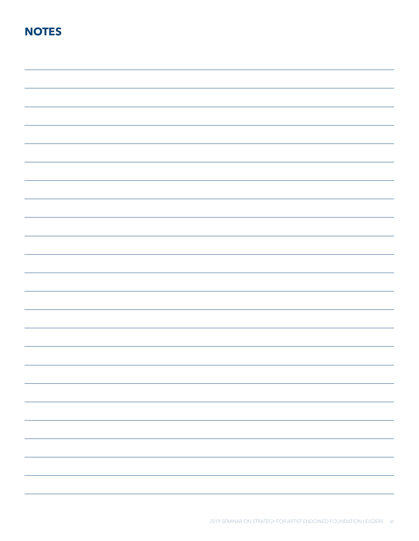### **NOTES**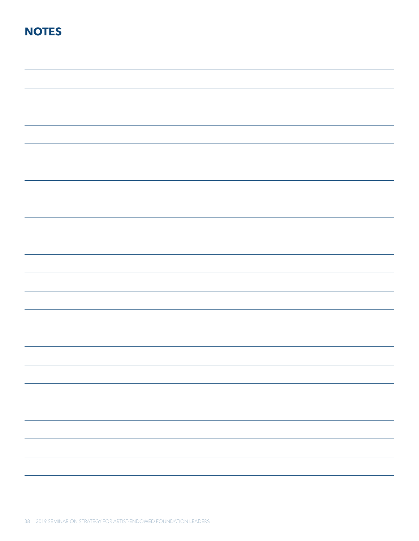### **NOTES**